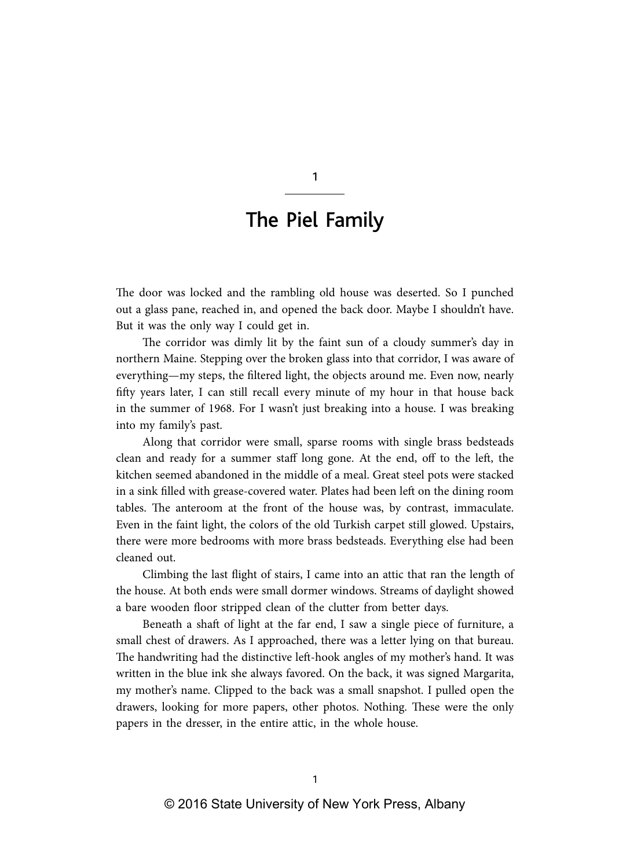1

# The Piel Family

The door was locked and the rambling old house was deserted. So I punched out a glass pane, reached in, and opened the back door. Maybe I shouldn't have. But it was the only way I could get in.

The corridor was dimly lit by the faint sun of a cloudy summer's day in northern Maine. Stepping over the broken glass into that corridor, I was aware of everything—my steps, the filtered light, the objects around me. Even now, nearly fifty years later, I can still recall every minute of my hour in that house back in the summer of 1968. For I wasn't just breaking into a house. I was breaking into my family's past.

Along that corridor were small, sparse rooms with single brass bedsteads clean and ready for a summer staff long gone. At the end, off to the left, the kitchen seemed abandoned in the middle of a meal. Great steel pots were stacked in a sink filled with grease-covered water. Plates had been left on the dining room tables. The anteroom at the front of the house was, by contrast, immaculate. Even in the faint light, the colors of the old Turkish carpet still glowed. Upstairs, there were more bedrooms with more brass bedsteads. Everything else had been cleaned out.

Climbing the last flight of stairs, I came into an attic that ran the length of the house. At both ends were small dormer windows. Streams of daylight showed a bare wooden floor stripped clean of the clutter from better days.

Beneath a shaft of light at the far end, I saw a single piece of furniture, a small chest of drawers. As I approached, there was a letter lying on that bureau. The handwriting had the distinctive left-hook angles of my mother's hand. It was written in the blue ink she always favored. On the back, it was signed Margarita, my mother's name. Clipped to the back was a small snapshot. I pulled open the drawers, looking for more papers, other photos. Nothing. These were the only papers in the dresser, in the entire attic, in the whole house.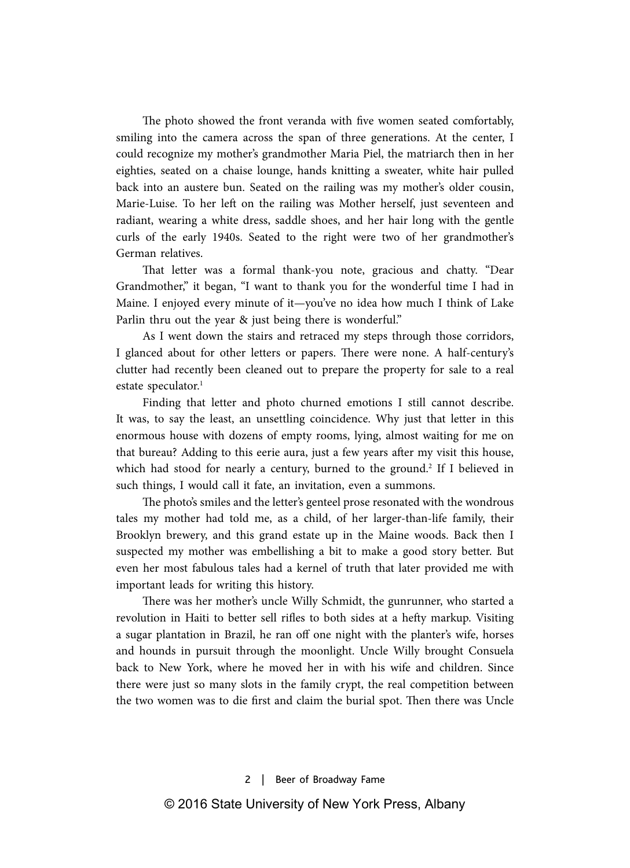The photo showed the front veranda with five women seated comfortably, smiling into the camera across the span of three generations. At the center, I could recognize my mother's grandmother Maria Piel, the matriarch then in her eighties, seated on a chaise lounge, hands knitting a sweater, white hair pulled back into an austere bun. Seated on the railing was my mother's older cousin, Marie-Luise. To her left on the railing was Mother herself, just seventeen and radiant, wearing a white dress, saddle shoes, and her hair long with the gentle curls of the early 1940s. Seated to the right were two of her grandmother's German relatives.

That letter was a formal thank-you note, gracious and chatty. "Dear Grandmother," it began, "I want to thank you for the wonderful time I had in Maine. I enjoyed every minute of it—you've no idea how much I think of Lake Parlin thru out the year & just being there is wonderful."

As I went down the stairs and retraced my steps through those corridors, I glanced about for other letters or papers. There were none. A half-century's clutter had recently been cleaned out to prepare the property for sale to a real estate speculator.<sup>1</sup>

Finding that letter and photo churned emotions I still cannot describe. It was, to say the least, an unsettling coincidence. Why just that letter in this enormous house with dozens of empty rooms, lying, almost waiting for me on that bureau? Adding to this eerie aura, just a few years after my visit this house, which had stood for nearly a century, burned to the ground.<sup>2</sup> If I believed in such things, I would call it fate, an invitation, even a summons.

The photo's smiles and the letter's genteel prose resonated with the wondrous tales my mother had told me, as a child, of her larger-than-life family, their Brooklyn brewery, and this grand estate up in the Maine woods. Back then I suspected my mother was embellishing a bit to make a good story better. But even her most fabulous tales had a kernel of truth that later provided me with important leads for writing this history.

There was her mother's uncle Willy Schmidt, the gunrunner, who started a revolution in Haiti to better sell rifles to both sides at a hefty markup. Visiting a sugar plantation in Brazil, he ran off one night with the planter's wife, horses and hounds in pursuit through the moonlight. Uncle Willy brought Consuela back to New York, where he moved her in with his wife and children. Since there were just so many slots in the family crypt, the real competition between the two women was to die first and claim the burial spot. Then there was Uncle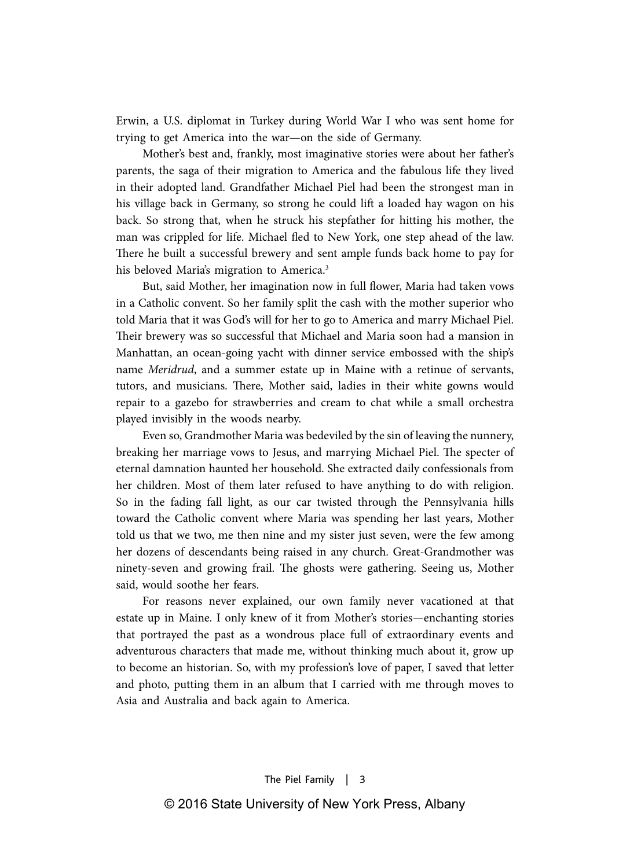Erwin, a U.S. diplomat in Turkey during World War I who was sent home for trying to get America into the war—on the side of Germany.

Mother's best and, frankly, most imaginative stories were about her father's parents, the saga of their migration to America and the fabulous life they lived in their adopted land. Grandfather Michael Piel had been the strongest man in his village back in Germany, so strong he could lift a loaded hay wagon on his back. So strong that, when he struck his stepfather for hitting his mother, the man was crippled for life. Michael fled to New York, one step ahead of the law. There he built a successful brewery and sent ample funds back home to pay for his beloved Maria's migration to America.<sup>3</sup>

But, said Mother, her imagination now in full flower, Maria had taken vows in a Catholic convent. So her family split the cash with the mother superior who told Maria that it was God's will for her to go to America and marry Michael Piel. Their brewery was so successful that Michael and Maria soon had a mansion in Manhattan, an ocean-going yacht with dinner service embossed with the ship's name *Meridrud*, and a summer estate up in Maine with a retinue of servants, tutors, and musicians. There, Mother said, ladies in their white gowns would repair to a gazebo for strawberries and cream to chat while a small orchestra played invisibly in the woods nearby.

Even so, Grandmother Maria was bedeviled by the sin of leaving the nunnery, breaking her marriage vows to Jesus, and marrying Michael Piel. The specter of eternal damnation haunted her household. She extracted daily confessionals from her children. Most of them later refused to have anything to do with religion. So in the fading fall light, as our car twisted through the Pennsylvania hills toward the Catholic convent where Maria was spending her last years, Mother told us that we two, me then nine and my sister just seven, were the few among her dozens of descendants being raised in any church. Great-Grandmother was ninety-seven and growing frail. The ghosts were gathering. Seeing us, Mother said, would soothe her fears.

For reasons never explained, our own family never vacationed at that estate up in Maine. I only knew of it from Mother's stories—enchanting stories that portrayed the past as a wondrous place full of extraordinary events and adventurous characters that made me, without thinking much about it, grow up to become an historian. So, with my profession's love of paper, I saved that letter and photo, putting them in an album that I carried with me through moves to Asia and Australia and back again to America.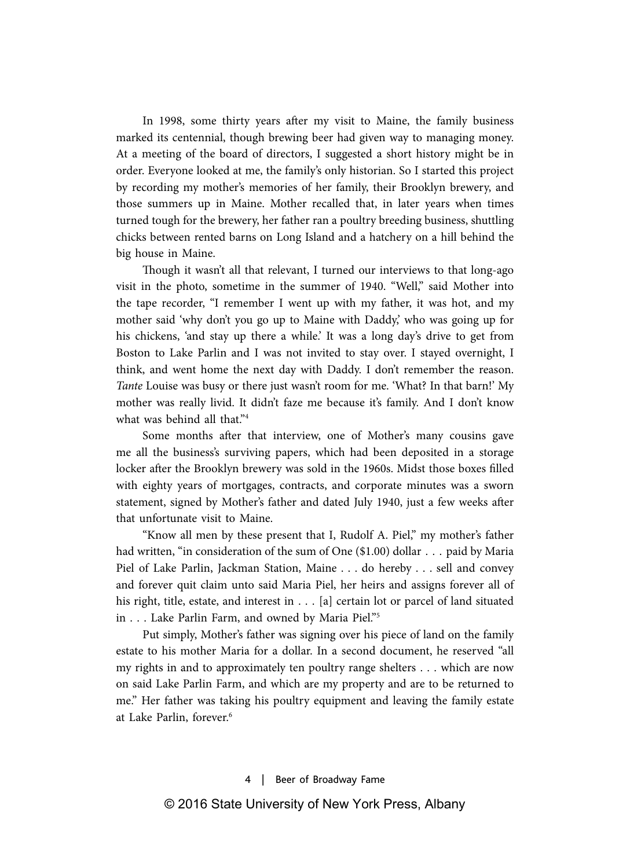In 1998, some thirty years after my visit to Maine, the family business marked its centennial, though brewing beer had given way to managing money. At a meeting of the board of directors, I suggested a short history might be in order. Everyone looked at me, the family's only historian. So I started this project by recording my mother's memories of her family, their Brooklyn brewery, and those summers up in Maine. Mother recalled that, in later years when times turned tough for the brewery, her father ran a poultry breeding business, shuttling chicks between rented barns on Long Island and a hatchery on a hill behind the big house in Maine.

Though it wasn't all that relevant, I turned our interviews to that long-ago visit in the photo, sometime in the summer of 1940. "Well," said Mother into the tape recorder, "I remember I went up with my father, it was hot, and my mother said 'why don't you go up to Maine with Daddy,' who was going up for his chickens, 'and stay up there a while.' It was a long day's drive to get from Boston to Lake Parlin and I was not invited to stay over. I stayed overnight, I think, and went home the next day with Daddy. I don't remember the reason. *Tante* Louise was busy or there just wasn't room for me. 'What? In that barn!' My mother was really livid. It didn't faze me because it's family. And I don't know what was behind all that."4

Some months after that interview, one of Mother's many cousins gave me all the business's surviving papers, which had been deposited in a storage locker after the Brooklyn brewery was sold in the 1960s. Midst those boxes filled with eighty years of mortgages, contracts, and corporate minutes was a sworn statement, signed by Mother's father and dated July 1940, just a few weeks after that unfortunate visit to Maine.

"Know all men by these present that I, Rudolf A. Piel," my mother's father had written, "in consideration of the sum of One (\$1.00) dollar . . . paid by Maria Piel of Lake Parlin, Jackman Station, Maine . . . do hereby . . . sell and convey and forever quit claim unto said Maria Piel, her heirs and assigns forever all of his right, title, estate, and interest in . . . [a] certain lot or parcel of land situated in . . . Lake Parlin Farm, and owned by Maria Piel."5

Put simply, Mother's father was signing over his piece of land on the family estate to his mother Maria for a dollar. In a second document, he reserved "all my rights in and to approximately ten poultry range shelters . . . which are now on said Lake Parlin Farm, and which are my property and are to be returned to me." Her father was taking his poultry equipment and leaving the family estate at Lake Parlin, forever.<sup>6</sup>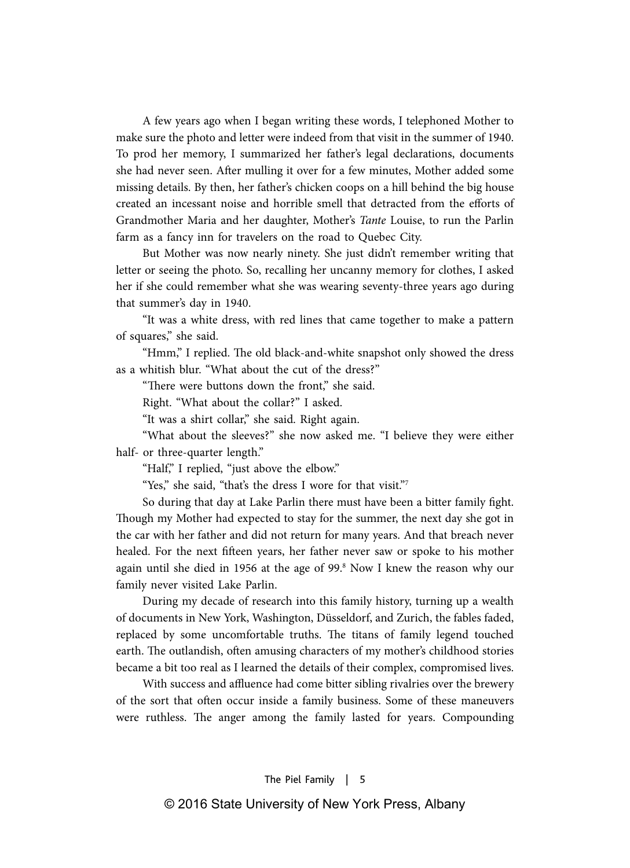A few years ago when I began writing these words, I telephoned Mother to make sure the photo and letter were indeed from that visit in the summer of 1940. To prod her memory, I summarized her father's legal declarations, documents she had never seen. After mulling it over for a few minutes, Mother added some missing details. By then, her father's chicken coops on a hill behind the big house created an incessant noise and horrible smell that detracted from the efforts of Grandmother Maria and her daughter, Mother's *Tante* Louise, to run the Parlin farm as a fancy inn for travelers on the road to Quebec City.

But Mother was now nearly ninety. She just didn't remember writing that letter or seeing the photo. So, recalling her uncanny memory for clothes, I asked her if she could remember what she was wearing seventy-three years ago during that summer's day in 1940.

"It was a white dress, with red lines that came together to make a pattern of squares," she said.

"Hmm," I replied. The old black-and-white snapshot only showed the dress as a whitish blur. "What about the cut of the dress?"

"There were buttons down the front," she said.

Right. "What about the collar?" I asked.

"It was a shirt collar," she said. Right again.

"What about the sleeves?" she now asked me. "I believe they were either half- or three-quarter length."

"Half," I replied, "just above the elbow."

"Yes," she said, "that's the dress I wore for that visit."<sup>7</sup>

So during that day at Lake Parlin there must have been a bitter family fight. Though my Mother had expected to stay for the summer, the next day she got in the car with her father and did not return for many years. And that breach never healed. For the next fifteen years, her father never saw or spoke to his mother again until she died in 1956 at the age of 99.8 Now I knew the reason why our family never visited Lake Parlin.

During my decade of research into this family history, turning up a wealth of documents in New York, Washington, Düsseldorf, and Zurich, the fables faded, replaced by some uncomfortable truths. The titans of family legend touched earth. The outlandish, often amusing characters of my mother's childhood stories became a bit too real as I learned the details of their complex, compromised lives.

With success and affluence had come bitter sibling rivalries over the brewery of the sort that often occur inside a family business. Some of these maneuvers were ruthless. The anger among the family lasted for years. Compounding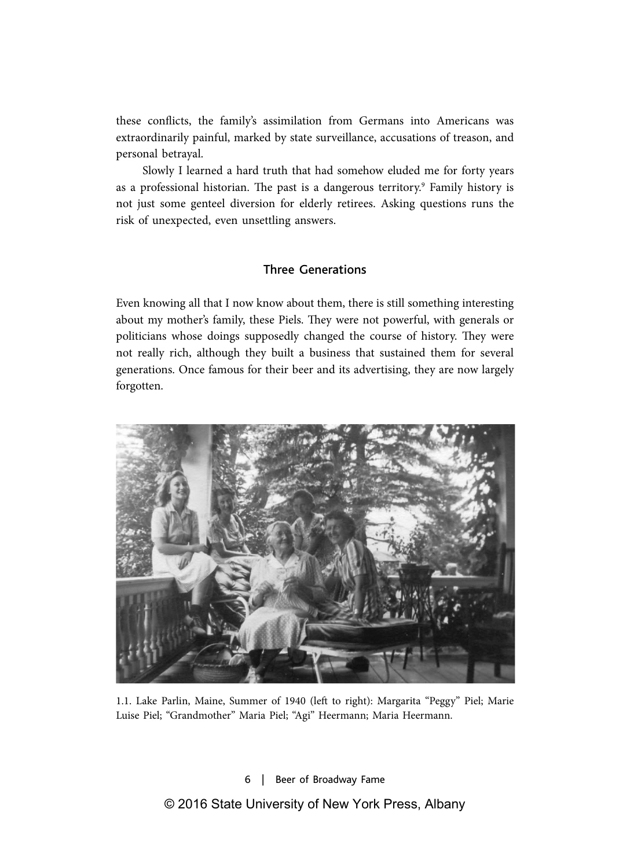these conflicts, the family's assimilation from Germans into Americans was extraordinarily painful, marked by state surveillance, accusations of treason, and personal betrayal.

Slowly I learned a hard truth that had somehow eluded me for forty years as a professional historian. The past is a dangerous territory.9 Family history is not just some genteel diversion for elderly retirees. Asking questions runs the risk of unexpected, even unsettling answers.

## Three Generations

Even knowing all that I now know about them, there is still something interesting about my mother's family, these Piels. They were not powerful, with generals or politicians whose doings supposedly changed the course of history. They were not really rich, although they built a business that sustained them for several generations. Once famous for their beer and its advertising, they are now largely forgotten.



1.1. Lake Parlin, Maine, Summer of 1940 (left to right): Margarita "Peggy" Piel; Marie Luise Piel; "Grandmother" Maria Piel; "Agi" Heermann; Maria Heermann.

6 | Beer of Broadway Fame

© 2016 State University of New York Press, Albany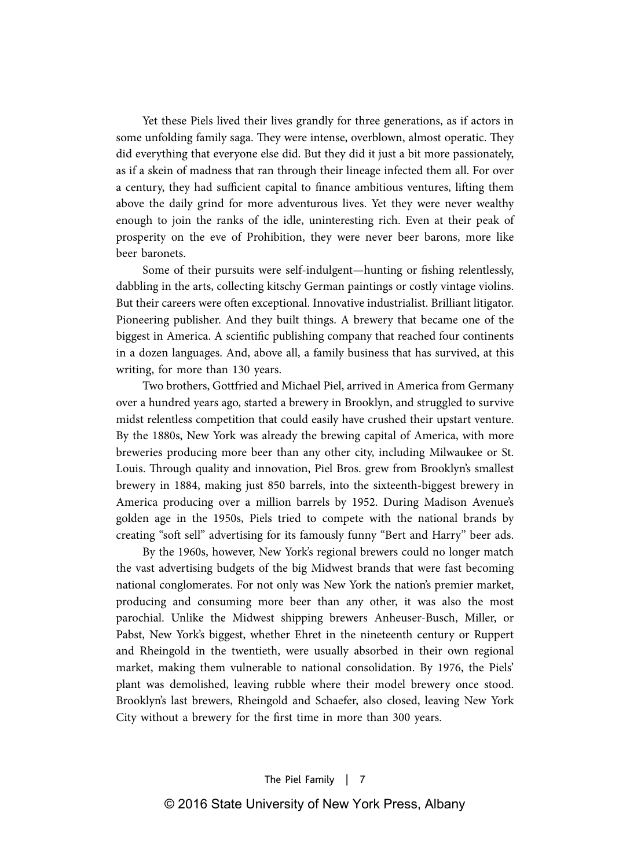Yet these Piels lived their lives grandly for three generations, as if actors in some unfolding family saga. They were intense, overblown, almost operatic. They did everything that everyone else did. But they did it just a bit more passionately, as if a skein of madness that ran through their lineage infected them all. For over a century, they had sufficient capital to finance ambitious ventures, lifting them above the daily grind for more adventurous lives. Yet they were never wealthy enough to join the ranks of the idle, uninteresting rich. Even at their peak of prosperity on the eve of Prohibition, they were never beer barons, more like beer baronets.

Some of their pursuits were self-indulgent—hunting or fishing relentlessly, dabbling in the arts, collecting kitschy German paintings or costly vintage violins. But their careers were often exceptional. Innovative industrialist. Brilliant litigator. Pioneering publisher. And they built things. A brewery that became one of the biggest in America. A scientific publishing company that reached four continents in a dozen languages. And, above all, a family business that has survived, at this writing, for more than 130 years.

Two brothers, Gottfried and Michael Piel, arrived in America from Germany over a hundred years ago, started a brewery in Brooklyn, and struggled to survive midst relentless competition that could easily have crushed their upstart venture. By the 1880s, New York was already the brewing capital of America, with more breweries producing more beer than any other city, including Milwaukee or St. Louis. Through quality and innovation, Piel Bros. grew from Brooklyn's smallest brewery in 1884, making just 850 barrels, into the sixteenth-biggest brewery in America producing over a million barrels by 1952. During Madison Avenue's golden age in the 1950s, Piels tried to compete with the national brands by creating "soft sell" advertising for its famously funny "Bert and Harry" beer ads.

By the 1960s, however, New York's regional brewers could no longer match the vast advertising budgets of the big Midwest brands that were fast becoming national conglomerates. For not only was New York the nation's premier market, producing and consuming more beer than any other, it was also the most parochial. Unlike the Midwest shipping brewers Anheuser-Busch, Miller, or Pabst, New York's biggest, whether Ehret in the nineteenth century or Ruppert and Rheingold in the twentieth, were usually absorbed in their own regional market, making them vulnerable to national consolidation. By 1976, the Piels' plant was demolished, leaving rubble where their model brewery once stood. Brooklyn's last brewers, Rheingold and Schaefer, also closed, leaving New York City without a brewery for the first time in more than 300 years.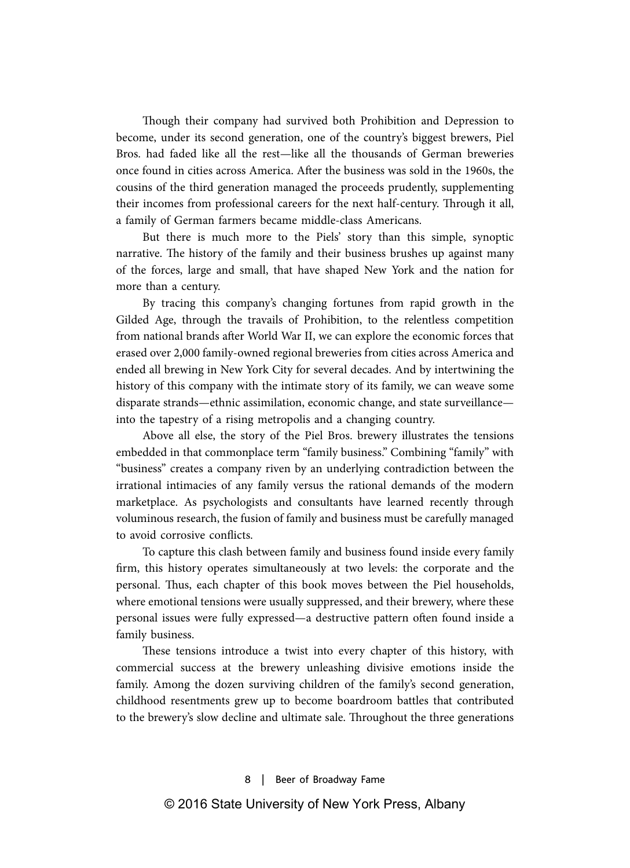Though their company had survived both Prohibition and Depression to become, under its second generation, one of the country's biggest brewers, Piel Bros. had faded like all the rest—like all the thousands of German breweries once found in cities across America. After the business was sold in the 1960s, the cousins of the third generation managed the proceeds prudently, supplementing their incomes from professional careers for the next half-century. Through it all, a family of German farmers became middle-class Americans.

But there is much more to the Piels' story than this simple, synoptic narrative. The history of the family and their business brushes up against many of the forces, large and small, that have shaped New York and the nation for more than a century.

By tracing this company's changing fortunes from rapid growth in the Gilded Age, through the travails of Prohibition, to the relentless competition from national brands after World War II, we can explore the economic forces that erased over 2,000 family-owned regional breweries from cities across America and ended all brewing in New York City for several decades. And by intertwining the history of this company with the intimate story of its family, we can weave some disparate strands—ethnic assimilation, economic change, and state surveillance into the tapestry of a rising metropolis and a changing country.

Above all else, the story of the Piel Bros. brewery illustrates the tensions embedded in that commonplace term "family business." Combining "family" with "business" creates a company riven by an underlying contradiction between the irrational intimacies of any family versus the rational demands of the modern marketplace. As psychologists and consultants have learned recently through voluminous research, the fusion of family and business must be carefully managed to avoid corrosive conflicts.

To capture this clash between family and business found inside every family firm, this history operates simultaneously at two levels: the corporate and the personal. Thus, each chapter of this book moves between the Piel households, where emotional tensions were usually suppressed, and their brewery, where these personal issues were fully expressed—a destructive pattern often found inside a family business.

These tensions introduce a twist into every chapter of this history, with commercial success at the brewery unleashing divisive emotions inside the family. Among the dozen surviving children of the family's second generation, childhood resentments grew up to become boardroom battles that contributed to the brewery's slow decline and ultimate sale. Throughout the three generations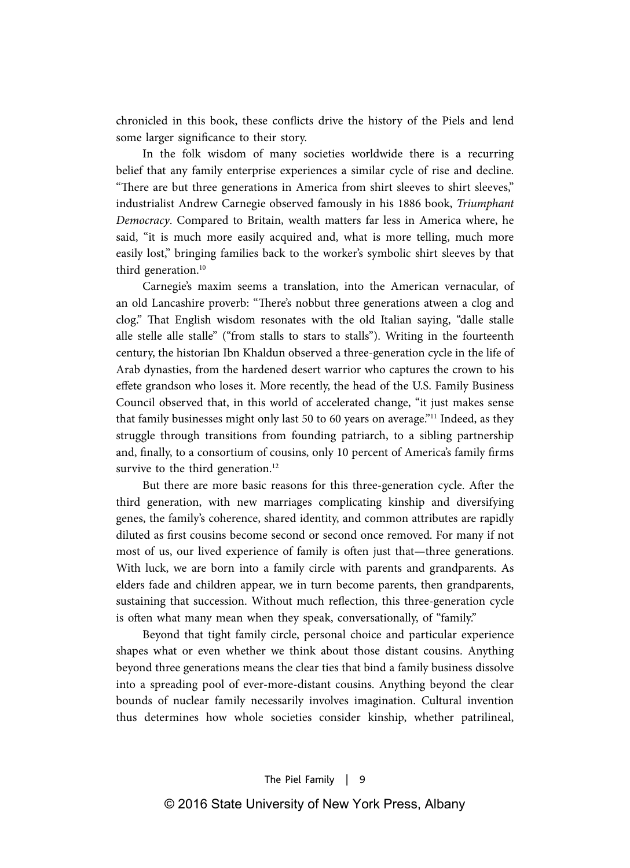chronicled in this book, these conflicts drive the history of the Piels and lend some larger significance to their story.

In the folk wisdom of many societies worldwide there is a recurring belief that any family enterprise experiences a similar cycle of rise and decline. "There are but three generations in America from shirt sleeves to shirt sleeves," industrialist Andrew Carnegie observed famously in his 1886 book, *Triumphant Democracy*. Compared to Britain, wealth matters far less in America where, he said, "it is much more easily acquired and, what is more telling, much more easily lost," bringing families back to the worker's symbolic shirt sleeves by that third generation.<sup>10</sup>

Carnegie's maxim seems a translation, into the American vernacular, of an old Lancashire proverb: "There's nobbut three generations atween a clog and clog." That English wisdom resonates with the old Italian saying, "dalle stalle alle stelle alle stalle" ("from stalls to stars to stalls"). Writing in the fourteenth century, the historian Ibn Khaldun observed a three-generation cycle in the life of Arab dynasties, from the hardened desert warrior who captures the crown to his effete grandson who loses it. More recently, the head of the U.S. Family Business Council observed that, in this world of accelerated change, "it just makes sense that family businesses might only last 50 to 60 years on average."11 Indeed, as they struggle through transitions from founding patriarch, to a sibling partnership and, finally, to a consortium of cousins, only 10 percent of America's family firms survive to the third generation.<sup>12</sup>

But there are more basic reasons for this three-generation cycle. After the third generation, with new marriages complicating kinship and diversifying genes, the family's coherence, shared identity, and common attributes are rapidly diluted as first cousins become second or second once removed. For many if not most of us, our lived experience of family is often just that—three generations. With luck, we are born into a family circle with parents and grandparents. As elders fade and children appear, we in turn become parents, then grandparents, sustaining that succession. Without much reflection, this three-generation cycle is often what many mean when they speak, conversationally, of "family."

Beyond that tight family circle, personal choice and particular experience shapes what or even whether we think about those distant cousins. Anything beyond three generations means the clear ties that bind a family business dissolve into a spreading pool of ever-more-distant cousins. Anything beyond the clear bounds of nuclear family necessarily involves imagination. Cultural invention thus determines how whole societies consider kinship, whether patrilineal,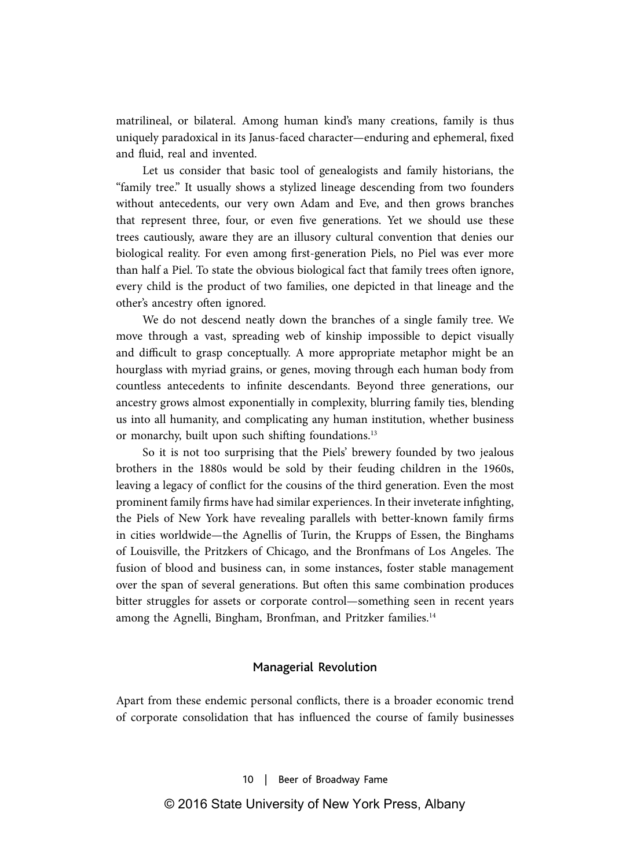matrilineal, or bilateral. Among human kind's many creations, family is thus uniquely paradoxical in its Janus-faced character—enduring and ephemeral, fixed and fluid, real and invented.

Let us consider that basic tool of genealogists and family historians, the "family tree." It usually shows a stylized lineage descending from two founders without antecedents, our very own Adam and Eve, and then grows branches that represent three, four, or even five generations. Yet we should use these trees cautiously, aware they are an illusory cultural convention that denies our biological reality. For even among first-generation Piels, no Piel was ever more than half a Piel. To state the obvious biological fact that family trees often ignore, every child is the product of two families, one depicted in that lineage and the other's ancestry often ignored.

We do not descend neatly down the branches of a single family tree. We move through a vast, spreading web of kinship impossible to depict visually and difficult to grasp conceptually. A more appropriate metaphor might be an hourglass with myriad grains, or genes, moving through each human body from countless antecedents to infinite descendants. Beyond three generations, our ancestry grows almost exponentially in complexity, blurring family ties, blending us into all humanity, and complicating any human institution, whether business or monarchy, built upon such shifting foundations.<sup>13</sup>

So it is not too surprising that the Piels' brewery founded by two jealous brothers in the 1880s would be sold by their feuding children in the 1960s, leaving a legacy of conflict for the cousins of the third generation. Even the most prominent family firms have had similar experiences. In their inveterate infighting, the Piels of New York have revealing parallels with better-known family firms in cities worldwide—the Agnellis of Turin, the Krupps of Essen, the Binghams of Louisville, the Pritzkers of Chicago, and the Bronfmans of Los Angeles. The fusion of blood and business can, in some instances, foster stable management over the span of several generations. But often this same combination produces bitter struggles for assets or corporate control—something seen in recent years among the Agnelli, Bingham, Bronfman, and Pritzker families.<sup>14</sup>

#### Managerial Revolution

Apart from these endemic personal conflicts, there is a broader economic trend of corporate consolidation that has influenced the course of family businesses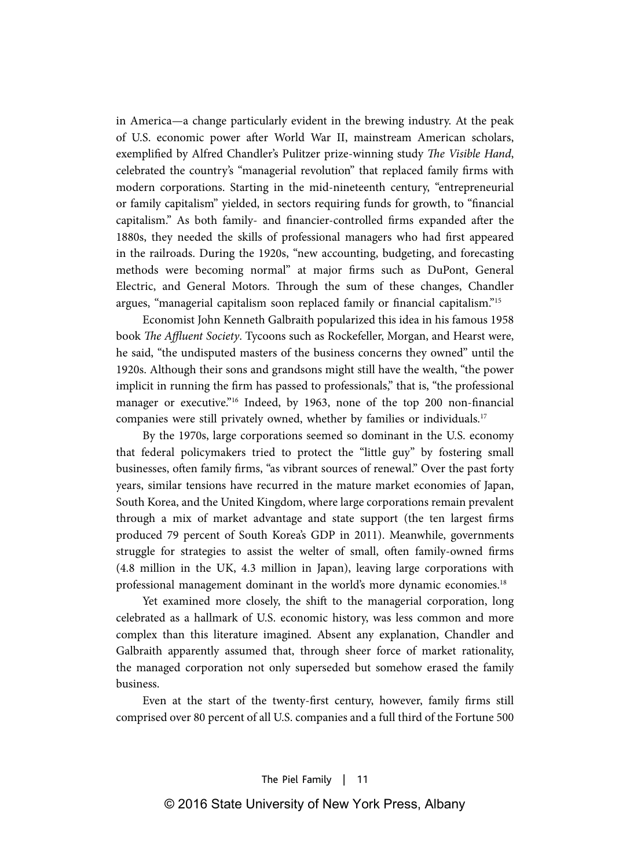in America—a change particularly evident in the brewing industry. At the peak of U.S. economic power after World War II, mainstream American scholars, exemplified by Alfred Chandler's Pulitzer prize-winning study *The Visible Hand*, celebrated the country's "managerial revolution" that replaced family firms with modern corporations. Starting in the mid-nineteenth century, "entrepreneurial or family capitalism" yielded, in sectors requiring funds for growth, to "financial capitalism." As both family- and financier-controlled firms expanded after the 1880s, they needed the skills of professional managers who had first appeared in the railroads. During the 1920s, "new accounting, budgeting, and forecasting methods were becoming normal" at major firms such as DuPont, General Electric, and General Motors. Through the sum of these changes, Chandler argues, "managerial capitalism soon replaced family or financial capitalism."15

Economist John Kenneth Galbraith popularized this idea in his famous 1958 book *The Affluent Society*. Tycoons such as Rockefeller, Morgan, and Hearst were, he said, "the undisputed masters of the business concerns they owned" until the 1920s. Although their sons and grandsons might still have the wealth, "the power implicit in running the firm has passed to professionals," that is, "the professional manager or executive."16 Indeed, by 1963, none of the top 200 non-financial companies were still privately owned, whether by families or individuals.17

By the 1970s, large corporations seemed so dominant in the U.S. economy that federal policymakers tried to protect the "little guy" by fostering small businesses, often family firms, "as vibrant sources of renewal." Over the past forty years, similar tensions have recurred in the mature market economies of Japan, South Korea, and the United Kingdom, where large corporations remain prevalent through a mix of market advantage and state support (the ten largest firms produced 79 percent of South Korea's GDP in 2011). Meanwhile, governments struggle for strategies to assist the welter of small, often family-owned firms (4.8 million in the UK, 4.3 million in Japan), leaving large corporations with professional management dominant in the world's more dynamic economies.18

Yet examined more closely, the shift to the managerial corporation, long celebrated as a hallmark of U.S. economic history, was less common and more complex than this literature imagined. Absent any explanation, Chandler and Galbraith apparently assumed that, through sheer force of market rationality, the managed corporation not only superseded but somehow erased the family business.

Even at the start of the twenty-first century, however, family firms still comprised over 80 percent of all U.S. companies and a full third of the Fortune 500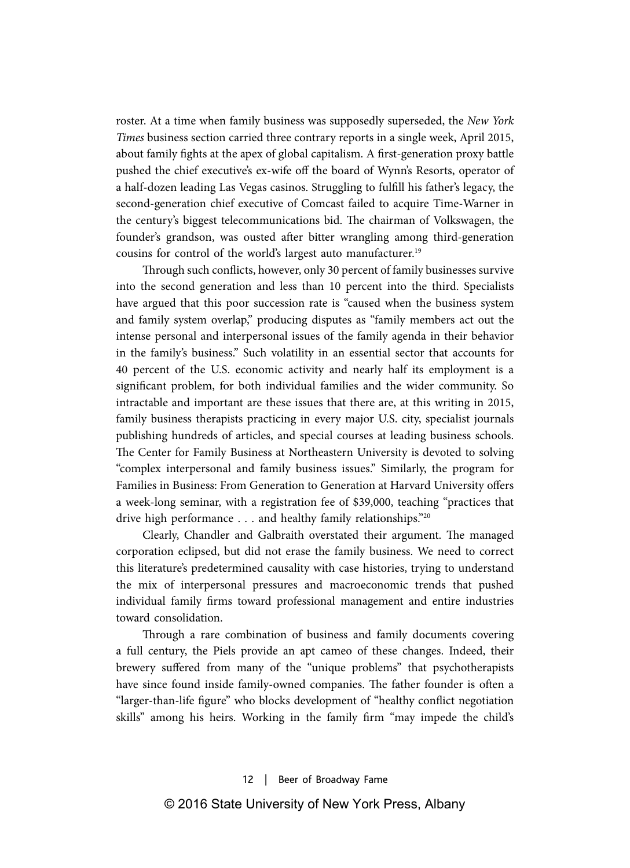roster. At a time when family business was supposedly superseded, the *New York Times* business section carried three contrary reports in a single week, April 2015, about family fights at the apex of global capitalism. A first-generation proxy battle pushed the chief executive's ex-wife off the board of Wynn's Resorts, operator of a half-dozen leading Las Vegas casinos. Struggling to fulfill his father's legacy, the second-generation chief executive of Comcast failed to acquire Time-Warner in the century's biggest telecommunications bid. The chairman of Volkswagen, the founder's grandson, was ousted after bitter wrangling among third-generation cousins for control of the world's largest auto manufacturer.19

Through such conflicts, however, only 30 percent of family businesses survive into the second generation and less than 10 percent into the third. Specialists have argued that this poor succession rate is "caused when the business system and family system overlap," producing disputes as "family members act out the intense personal and interpersonal issues of the family agenda in their behavior in the family's business." Such volatility in an essential sector that accounts for 40 percent of the U.S. economic activity and nearly half its employment is a significant problem, for both individual families and the wider community. So intractable and important are these issues that there are, at this writing in 2015, family business therapists practicing in every major U.S. city, specialist journals publishing hundreds of articles, and special courses at leading business schools. The Center for Family Business at Northeastern University is devoted to solving "complex interpersonal and family business issues." Similarly, the program for Families in Business: From Generation to Generation at Harvard University offers a week-long seminar, with a registration fee of \$39,000, teaching "practices that drive high performance . . . and healthy family relationships."20

Clearly, Chandler and Galbraith overstated their argument. The managed corporation eclipsed, but did not erase the family business. We need to correct this literature's predetermined causality with case histories, trying to understand the mix of interpersonal pressures and macroeconomic trends that pushed individual family firms toward professional management and entire industries toward consolidation.

Through a rare combination of business and family documents covering a full century, the Piels provide an apt cameo of these changes. Indeed, their brewery suffered from many of the "unique problems" that psychotherapists have since found inside family-owned companies. The father founder is often a "larger-than-life figure" who blocks development of "healthy conflict negotiation skills" among his heirs. Working in the family firm "may impede the child's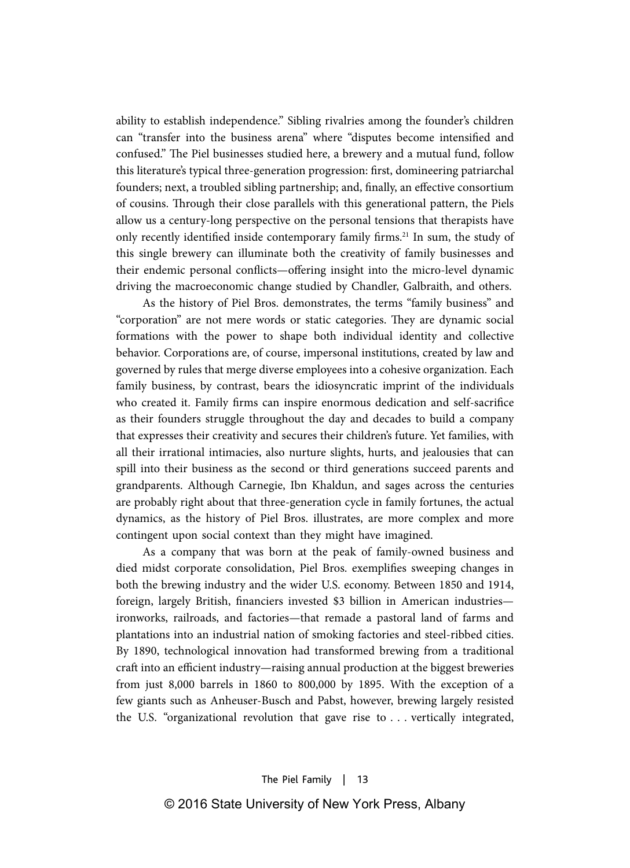ability to establish independence." Sibling rivalries among the founder's children can "transfer into the business arena" where "disputes become intensified and confused." The Piel businesses studied here, a brewery and a mutual fund, follow this literature's typical three-generation progression: first, domineering patriarchal founders; next, a troubled sibling partnership; and, finally, an effective consortium of cousins. Through their close parallels with this generational pattern, the Piels allow us a century-long perspective on the personal tensions that therapists have only recently identified inside contemporary family firms.<sup>21</sup> In sum, the study of this single brewery can illuminate both the creativity of family businesses and their endemic personal conflicts—offering insight into the micro-level dynamic driving the macroeconomic change studied by Chandler, Galbraith, and others.

As the history of Piel Bros. demonstrates, the terms "family business" and "corporation" are not mere words or static categories. They are dynamic social formations with the power to shape both individual identity and collective behavior. Corporations are, of course, impersonal institutions, created by law and governed by rules that merge diverse employees into a cohesive organization. Each family business, by contrast, bears the idiosyncratic imprint of the individuals who created it. Family firms can inspire enormous dedication and self-sacrifice as their founders struggle throughout the day and decades to build a company that expresses their creativity and secures their children's future. Yet families, with all their irrational intimacies, also nurture slights, hurts, and jealousies that can spill into their business as the second or third generations succeed parents and grandparents. Although Carnegie, Ibn Khaldun, and sages across the centuries are probably right about that three-generation cycle in family fortunes, the actual dynamics, as the history of Piel Bros. illustrates, are more complex and more contingent upon social context than they might have imagined.

As a company that was born at the peak of family-owned business and died midst corporate consolidation, Piel Bros. exemplifies sweeping changes in both the brewing industry and the wider U.S. economy. Between 1850 and 1914, foreign, largely British, financiers invested \$3 billion in American industries ironworks, railroads, and factories—that remade a pastoral land of farms and plantations into an industrial nation of smoking factories and steel-ribbed cities. By 1890, technological innovation had transformed brewing from a traditional craft into an efficient industry—raising annual production at the biggest breweries from just 8,000 barrels in 1860 to 800,000 by 1895. With the exception of a few giants such as Anheuser-Busch and Pabst, however, brewing largely resisted the U.S. "organizational revolution that gave rise to . . . vertically integrated,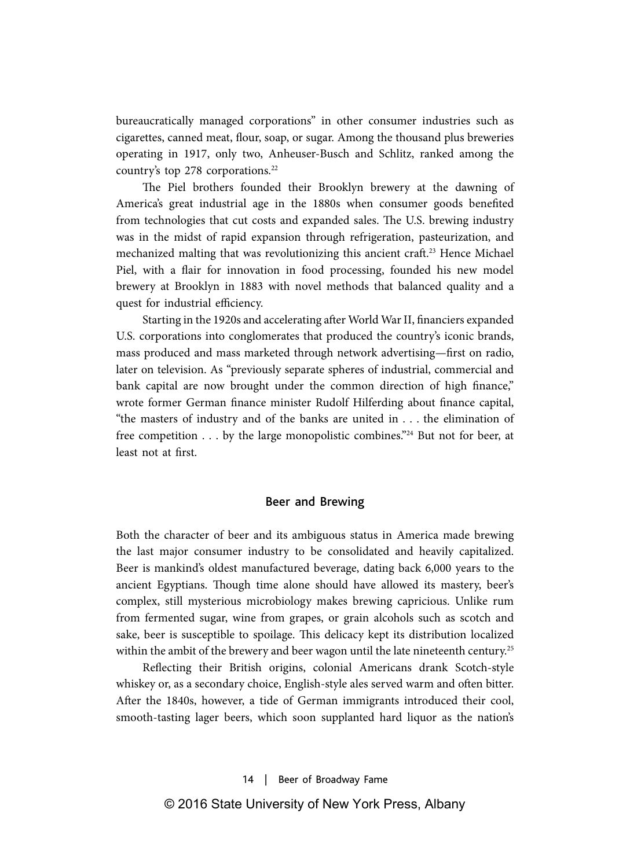bureaucratically managed corporations" in other consumer industries such as cigarettes, canned meat, flour, soap, or sugar. Among the thousand plus breweries operating in 1917, only two, Anheuser-Busch and Schlitz, ranked among the country's top 278 corporations.22

The Piel brothers founded their Brooklyn brewery at the dawning of America's great industrial age in the 1880s when consumer goods benefited from technologies that cut costs and expanded sales. The U.S. brewing industry was in the midst of rapid expansion through refrigeration, pasteurization, and mechanized malting that was revolutionizing this ancient craft.23 Hence Michael Piel, with a flair for innovation in food processing, founded his new model brewery at Brooklyn in 1883 with novel methods that balanced quality and a quest for industrial efficiency.

Starting in the 1920s and accelerating after World War II, financiers expanded U.S. corporations into conglomerates that produced the country's iconic brands, mass produced and mass marketed through network advertising—first on radio, later on television. As "previously separate spheres of industrial, commercial and bank capital are now brought under the common direction of high finance," wrote former German finance minister Rudolf Hilferding about finance capital, "the masters of industry and of the banks are united in . . . the elimination of free competition . . . by the large monopolistic combines."24 But not for beer, at least not at first.

#### Beer and Brewing

Both the character of beer and its ambiguous status in America made brewing the last major consumer industry to be consolidated and heavily capitalized. Beer is mankind's oldest manufactured beverage, dating back 6,000 years to the ancient Egyptians. Though time alone should have allowed its mastery, beer's complex, still mysterious microbiology makes brewing capricious. Unlike rum from fermented sugar, wine from grapes, or grain alcohols such as scotch and sake, beer is susceptible to spoilage. This delicacy kept its distribution localized within the ambit of the brewery and beer wagon until the late nineteenth century.<sup>25</sup>

Reflecting their British origins, colonial Americans drank Scotch-style whiskey or, as a secondary choice, English-style ales served warm and often bitter. After the 1840s, however, a tide of German immigrants introduced their cool, smooth-tasting lager beers, which soon supplanted hard liquor as the nation's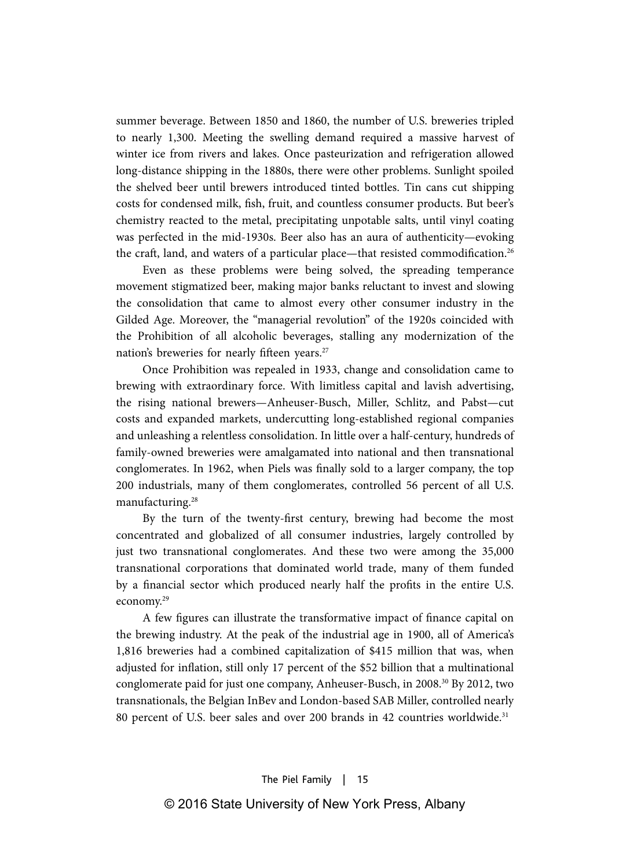summer beverage. Between 1850 and 1860, the number of U.S. breweries tripled to nearly 1,300. Meeting the swelling demand required a massive harvest of winter ice from rivers and lakes. Once pasteurization and refrigeration allowed long-distance shipping in the 1880s, there were other problems. Sunlight spoiled the shelved beer until brewers introduced tinted bottles. Tin cans cut shipping costs for condensed milk, fish, fruit, and countless consumer products. But beer's chemistry reacted to the metal, precipitating unpotable salts, until vinyl coating was perfected in the mid-1930s. Beer also has an aura of authenticity—evoking the craft, land, and waters of a particular place—that resisted commodification.26

Even as these problems were being solved, the spreading temperance movement stigmatized beer, making major banks reluctant to invest and slowing the consolidation that came to almost every other consumer industry in the Gilded Age. Moreover, the "managerial revolution" of the 1920s coincided with the Prohibition of all alcoholic beverages, stalling any modernization of the nation's breweries for nearly fifteen years.<sup>27</sup>

Once Prohibition was repealed in 1933, change and consolidation came to brewing with extraordinary force. With limitless capital and lavish advertising, the rising national brewers—Anheuser-Busch, Miller, Schlitz, and Pabst—cut costs and expanded markets, undercutting long-established regional companies and unleashing a relentless consolidation. In little over a half-century, hundreds of family-owned breweries were amalgamated into national and then transnational conglomerates. In 1962, when Piels was finally sold to a larger company, the top 200 industrials, many of them conglomerates, controlled 56 percent of all U.S. manufacturing.28

By the turn of the twenty-first century, brewing had become the most concentrated and globalized of all consumer industries, largely controlled by just two transnational conglomerates. And these two were among the 35,000 transnational corporations that dominated world trade, many of them funded by a financial sector which produced nearly half the profits in the entire U.S. economy.29

A few figures can illustrate the transformative impact of finance capital on the brewing industry. At the peak of the industrial age in 1900, all of America's 1,816 breweries had a combined capitalization of \$415 million that was, when adjusted for inflation, still only 17 percent of the \$52 billion that a multinational conglomerate paid for just one company, Anheuser-Busch, in 2008.30 By 2012, two transnationals, the Belgian InBev and London-based SAB Miller, controlled nearly 80 percent of U.S. beer sales and over 200 brands in 42 countries worldwide.<sup>31</sup>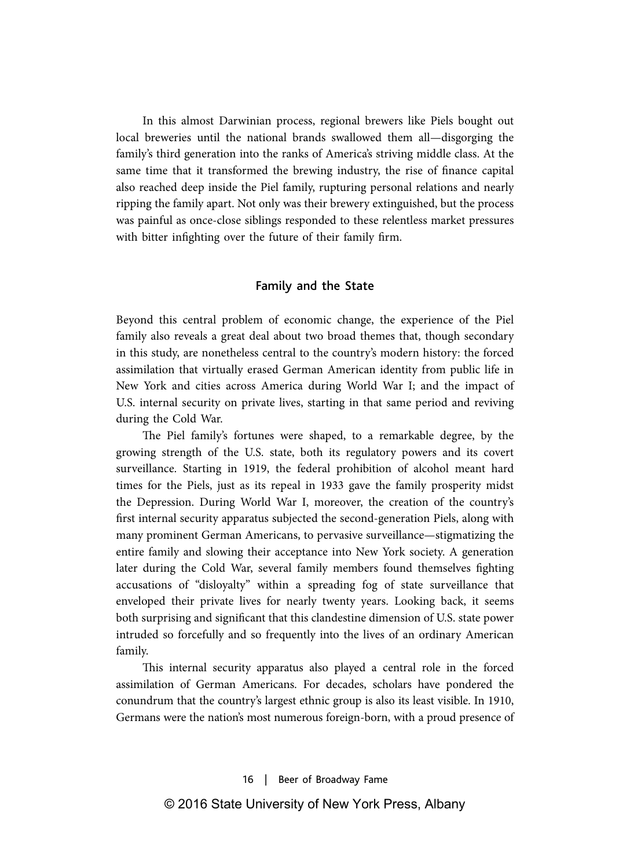In this almost Darwinian process, regional brewers like Piels bought out local breweries until the national brands swallowed them all—disgorging the family's third generation into the ranks of America's striving middle class. At the same time that it transformed the brewing industry, the rise of finance capital also reached deep inside the Piel family, rupturing personal relations and nearly ripping the family apart. Not only was their brewery extinguished, but the process was painful as once-close siblings responded to these relentless market pressures with bitter infighting over the future of their family firm.

#### Family and the State

Beyond this central problem of economic change, the experience of the Piel family also reveals a great deal about two broad themes that, though secondary in this study, are nonetheless central to the country's modern history: the forced assimilation that virtually erased German American identity from public life in New York and cities across America during World War I; and the impact of U.S. internal security on private lives, starting in that same period and reviving during the Cold War.

The Piel family's fortunes were shaped, to a remarkable degree, by the growing strength of the U.S. state, both its regulatory powers and its covert surveillance. Starting in 1919, the federal prohibition of alcohol meant hard times for the Piels, just as its repeal in 1933 gave the family prosperity midst the Depression. During World War I, moreover, the creation of the country's first internal security apparatus subjected the second-generation Piels, along with many prominent German Americans, to pervasive surveillance—stigmatizing the entire family and slowing their acceptance into New York society. A generation later during the Cold War, several family members found themselves fighting accusations of "disloyalty" within a spreading fog of state surveillance that enveloped their private lives for nearly twenty years. Looking back, it seems both surprising and significant that this clandestine dimension of U.S. state power intruded so forcefully and so frequently into the lives of an ordinary American family.

This internal security apparatus also played a central role in the forced assimilation of German Americans. For decades, scholars have pondered the conundrum that the country's largest ethnic group is also its least visible. In 1910, Germans were the nation's most numerous foreign-born, with a proud presence of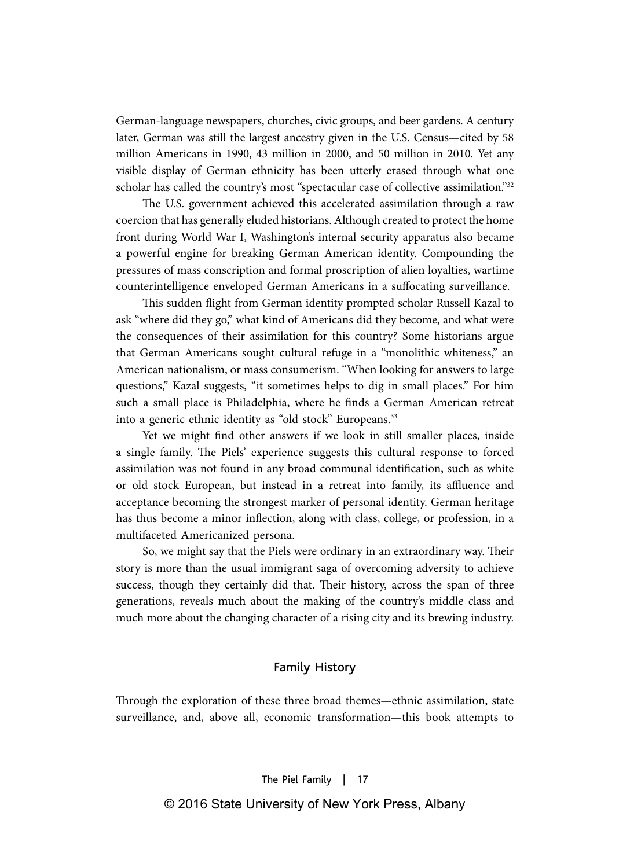German-language newspapers, churches, civic groups, and beer gardens. A century later, German was still the largest ancestry given in the U.S. Census—cited by 58 million Americans in 1990, 43 million in 2000, and 50 million in 2010. Yet any visible display of German ethnicity has been utterly erased through what one scholar has called the country's most "spectacular case of collective assimilation."<sup>32</sup>

The U.S. government achieved this accelerated assimilation through a raw coercion that has generally eluded historians. Although created to protect the home front during World War I, Washington's internal security apparatus also became a powerful engine for breaking German American identity. Compounding the pressures of mass conscription and formal proscription of alien loyalties, wartime counterintelligence enveloped German Americans in a suffocating surveillance.

This sudden flight from German identity prompted scholar Russell Kazal to ask "where did they go," what kind of Americans did they become, and what were the consequences of their assimilation for this country? Some historians argue that German Americans sought cultural refuge in a "monolithic whiteness," an American nationalism, or mass consumerism. "When looking for answers to large questions," Kazal suggests, "it sometimes helps to dig in small places." For him such a small place is Philadelphia, where he finds a German American retreat into a generic ethnic identity as "old stock" Europeans.<sup>33</sup>

Yet we might find other answers if we look in still smaller places, inside a single family. The Piels' experience suggests this cultural response to forced assimilation was not found in any broad communal identification, such as white or old stock European, but instead in a retreat into family, its affluence and acceptance becoming the strongest marker of personal identity. German heritage has thus become a minor inflection, along with class, college, or profession, in a multifaceted Americanized persona.

So, we might say that the Piels were ordinary in an extraordinary way. Their story is more than the usual immigrant saga of overcoming adversity to achieve success, though they certainly did that. Their history, across the span of three generations, reveals much about the making of the country's middle class and much more about the changing character of a rising city and its brewing industry.

### Family History

Through the exploration of these three broad themes—ethnic assimilation, state surveillance, and, above all, economic transformation—this book attempts to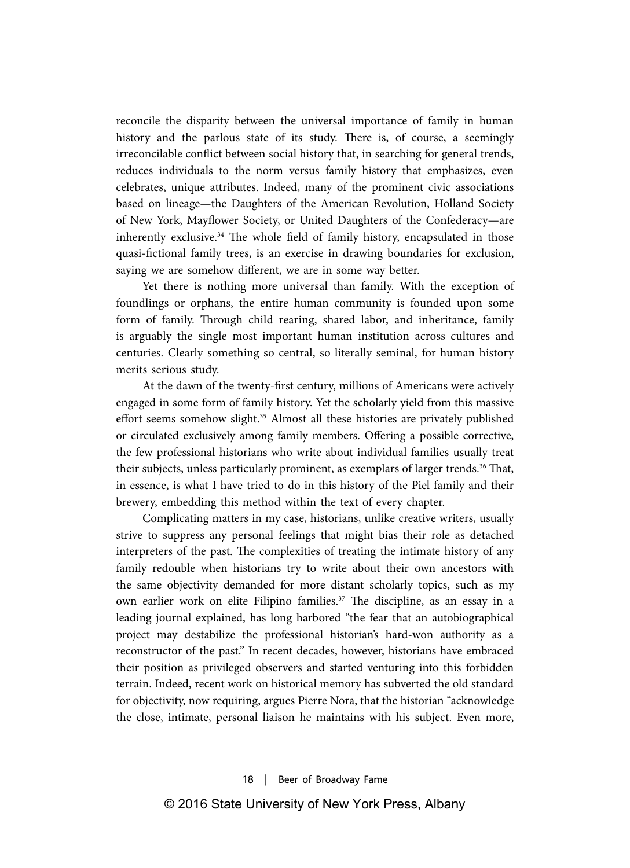reconcile the disparity between the universal importance of family in human history and the parlous state of its study. There is, of course, a seemingly irreconcilable conflict between social history that, in searching for general trends, reduces individuals to the norm versus family history that emphasizes, even celebrates, unique attributes. Indeed, many of the prominent civic associations based on lineage—the Daughters of the American Revolution, Holland Society of New York, Mayflower Society, or United Daughters of the Confederacy—are inherently exclusive.<sup>34</sup> The whole field of family history, encapsulated in those quasi-fictional family trees, is an exercise in drawing boundaries for exclusion, saying we are somehow different, we are in some way better.

Yet there is nothing more universal than family. With the exception of foundlings or orphans, the entire human community is founded upon some form of family. Through child rearing, shared labor, and inheritance, family is arguably the single most important human institution across cultures and centuries. Clearly something so central, so literally seminal, for human history merits serious study.

At the dawn of the twenty-first century, millions of Americans were actively engaged in some form of family history. Yet the scholarly yield from this massive effort seems somehow slight.<sup>35</sup> Almost all these histories are privately published or circulated exclusively among family members. Offering a possible corrective, the few professional historians who write about individual families usually treat their subjects, unless particularly prominent, as exemplars of larger trends.<sup>36</sup> That, in essence, is what I have tried to do in this history of the Piel family and their brewery, embedding this method within the text of every chapter.

Complicating matters in my case, historians, unlike creative writers, usually strive to suppress any personal feelings that might bias their role as detached interpreters of the past. The complexities of treating the intimate history of any family redouble when historians try to write about their own ancestors with the same objectivity demanded for more distant scholarly topics, such as my own earlier work on elite Filipino families.<sup>37</sup> The discipline, as an essay in a leading journal explained, has long harbored "the fear that an autobiographical project may destabilize the professional historian's hard-won authority as a reconstructor of the past." In recent decades, however, historians have embraced their position as privileged observers and started venturing into this forbidden terrain. Indeed, recent work on historical memory has subverted the old standard for objectivity, now requiring, argues Pierre Nora, that the historian "acknowledge the close, intimate, personal liaison he maintains with his subject. Even more,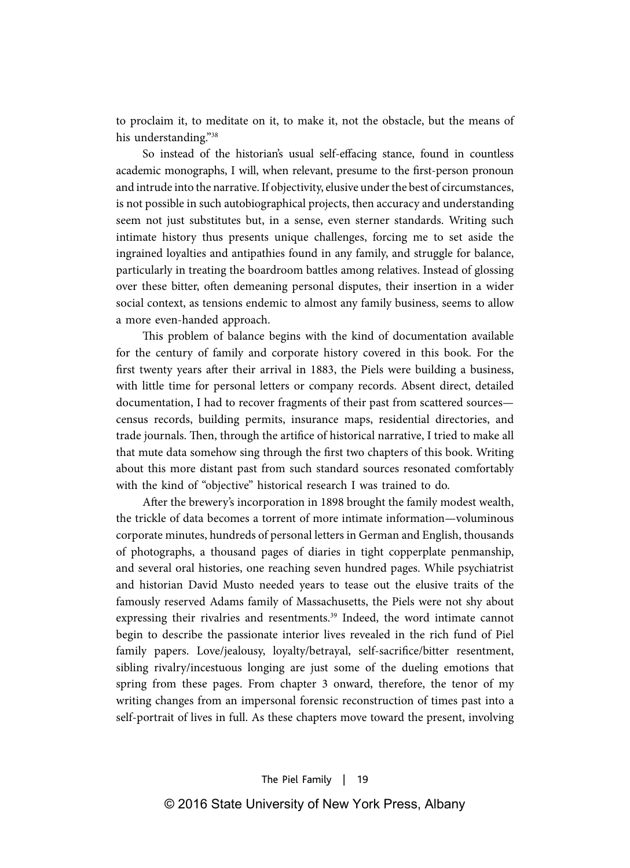to proclaim it, to meditate on it, to make it, not the obstacle, but the means of his understanding."38

So instead of the historian's usual self-effacing stance, found in countless academic monographs, I will, when relevant, presume to the first-person pronoun and intrude into the narrative. If objectivity, elusive under the best of circumstances, is not possible in such autobiographical projects, then accuracy and understanding seem not just substitutes but, in a sense, even sterner standards. Writing such intimate history thus presents unique challenges, forcing me to set aside the ingrained loyalties and antipathies found in any family, and struggle for balance, particularly in treating the boardroom battles among relatives. Instead of glossing over these bitter, often demeaning personal disputes, their insertion in a wider social context, as tensions endemic to almost any family business, seems to allow a more even-handed approach.

This problem of balance begins with the kind of documentation available for the century of family and corporate history covered in this book. For the first twenty years after their arrival in 1883, the Piels were building a business, with little time for personal letters or company records. Absent direct, detailed documentation, I had to recover fragments of their past from scattered sources census records, building permits, insurance maps, residential directories, and trade journals. Then, through the artifice of historical narrative, I tried to make all that mute data somehow sing through the first two chapters of this book. Writing about this more distant past from such standard sources resonated comfortably with the kind of "objective" historical research I was trained to do.

After the brewery's incorporation in 1898 brought the family modest wealth, the trickle of data becomes a torrent of more intimate information—voluminous corporate minutes, hundreds of personal letters in German and English, thousands of photographs, a thousand pages of diaries in tight copperplate penmanship, and several oral histories, one reaching seven hundred pages. While psychiatrist and historian David Musto needed years to tease out the elusive traits of the famously reserved Adams family of Massachusetts, the Piels were not shy about expressing their rivalries and resentments.<sup>39</sup> Indeed, the word intimate cannot begin to describe the passionate interior lives revealed in the rich fund of Piel family papers. Love/jealousy, loyalty/betrayal, self-sacrifice/bitter resentment, sibling rivalry/incestuous longing are just some of the dueling emotions that spring from these pages. From chapter 3 onward, therefore, the tenor of my writing changes from an impersonal forensic reconstruction of times past into a self-portrait of lives in full. As these chapters move toward the present, involving